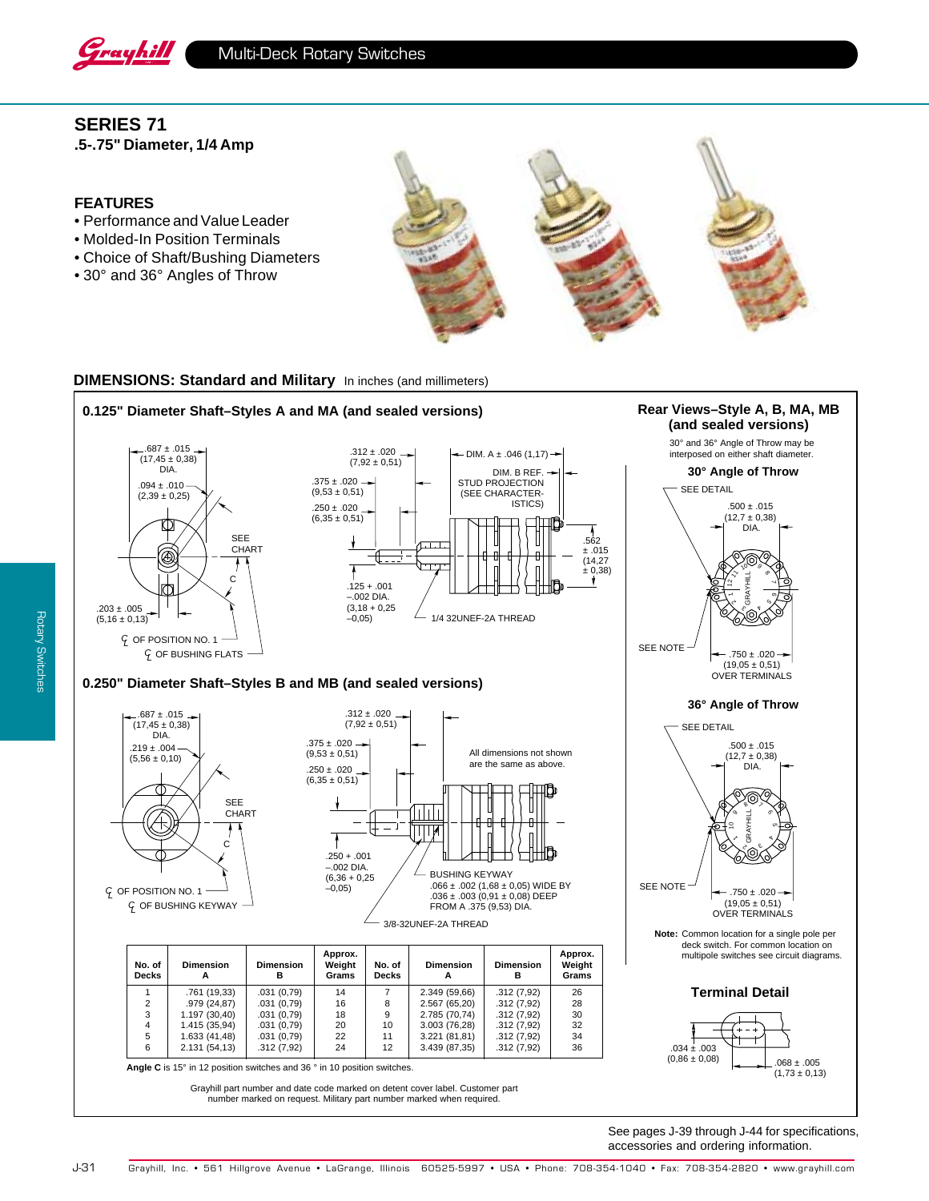

# **SERIES 71**

**.5-.75" Diameter, 1/4 Amp**

### **FEATURES**

- Performance and Value Leader
- Molded-In Position Terminals
- Choice of Shaft/Bushing Diameters
- 30° and 36° Angles of Throw



## **DIMENSIONS: Standard and Military** In inches (and millimeters)





 $G$  OF BUSHING KEYWAY



| No. of<br><b>Decks</b> | <b>Dimension</b> | <b>Dimension</b><br>в | Approx.<br>Weight<br>Grams | No. of<br><b>Decks</b> | <b>Dimension</b> | <b>Dimension</b><br>в | Approx.<br>Weight<br>Grams |
|------------------------|------------------|-----------------------|----------------------------|------------------------|------------------|-----------------------|----------------------------|
|                        | .761 (19,33)     | .031(0.79)            | 14                         |                        | 2.349 (59,66)    | .312(7.92)            | 26                         |
| 2                      | .979 (24,87)     | .031(0.79)            | 16                         | 8                      | 2.567 (65,20)    | .312(7.92)            | 28                         |
| 3                      | 1.197(30,40)     | .031(0.79)            | 18                         | 9                      | 2.785 (70,74)    | .312(7.92)            | 30                         |
| 4                      | 1.415 (35,94)    | .031(0.79)            | 20                         | 10                     | 3.003(76,28)     | .312(7.92)            | 32                         |
| 5                      | 1.633 (41,48)    | .031(0.79)            | 22                         | 11                     | 3.221 (81,81)    | .312(7.92)            | 34                         |
| 6                      | 2.131 (54,13)    | .312(7.92)            | 24                         | 12                     | 3.439 (87,35)    | .312(7.92)            | 36                         |

**Angle C** is 15° in 12 position switches and 36 ° in 10 position switches.

Grayhill part number and date code marked on detent cover label. Customer part number marked on request. Military part number marked when required.

0.125" Diameter Shaft–Styles A and MA (and sealed versions) **Rear Views–Style A, B, MA, MB (and sealed versions) 36° Angle of Throw Terminal Detail Note:** Common location for a single pole per deck switch. For common location on multipole switches see circuit diagrams. 30° and 36° Angle of Throw may be interposed on either shaft diameter. **30° Angle of Throw** GRAYHILL 12  $\tilde{\phantom{a}}$ 10  $\frac{1}{2}$ 10 17  $500 + 015$  $(12,7 \pm 0,38)$  DIA.  $.750 \pm .020$  $(19,05 \pm 0,51)$ OVER TERMINALS SEE DETAIL SEE NOTE ج. 5 GRAYHILL 1 ح ه<br>پر<br>پر 8∕ ∕ { 9 $.500 \pm .015$  $(12,7 \pm 0,38)$  DIA.  $.750 \pm .020$  $(19.05 + 0.51)$ OVER TERMINALS SEE DETAIL SEE NOTE

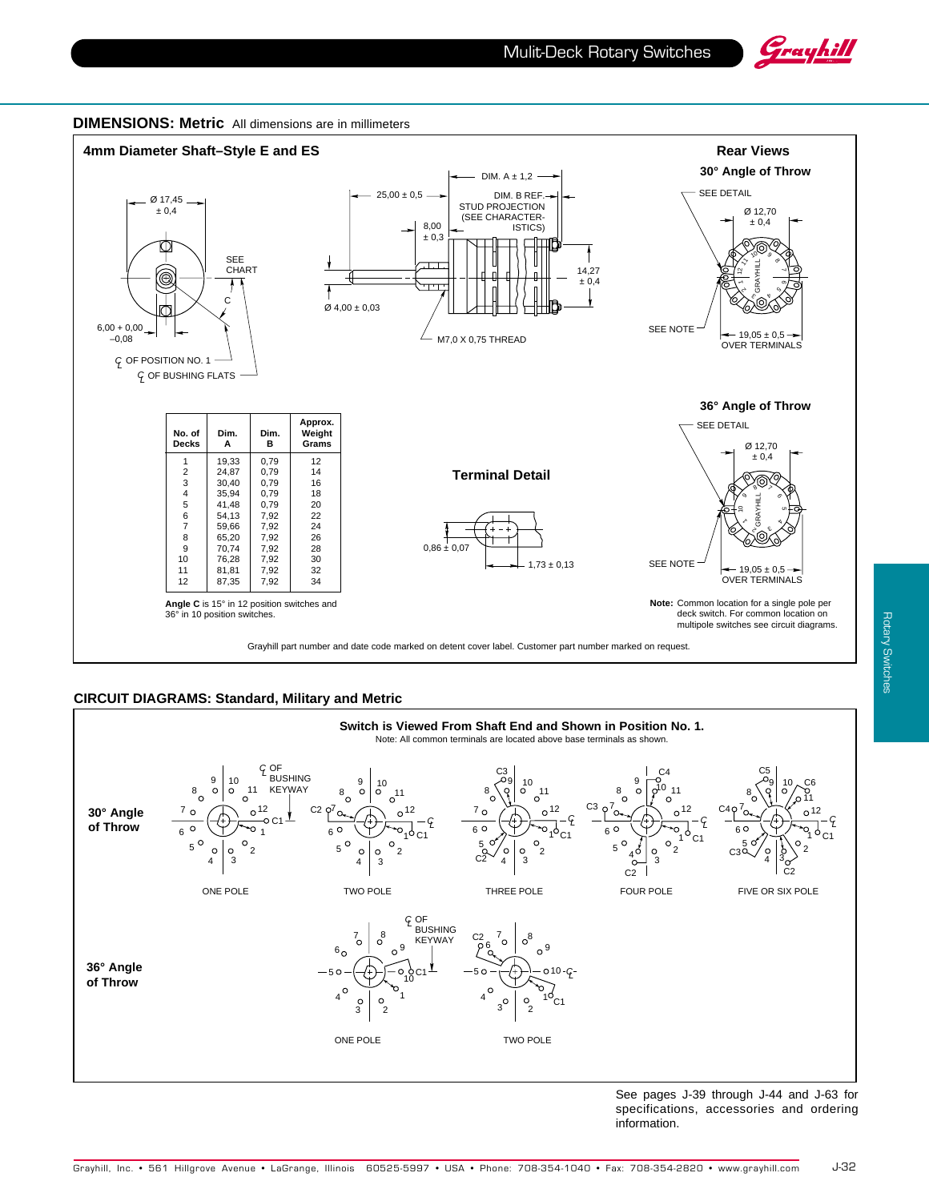



### **CIRCUIT DIAGRAMS: Standard, Military and Metric**



See pages J-39 through J-44 and J-63 for specifications, accessories and ordering information.

J-32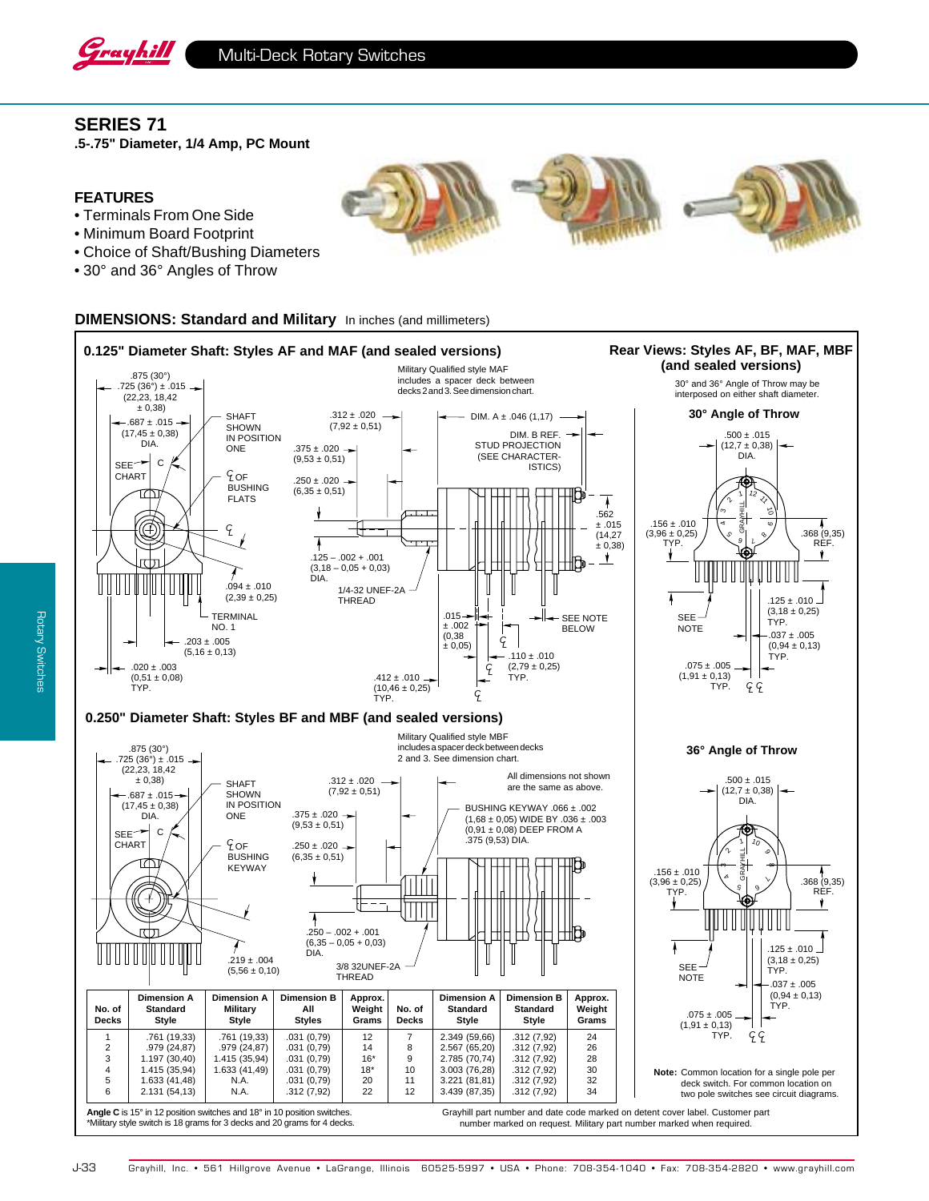

## **SERIES 71**

**.5-.75" Diameter, 1/4 Amp, PC Mount**

### **FEATURES**

- Terminals From One Side
- Minimum Board Footprint
- Choice of Shaft/Bushing Diameters
- 30° and 36° Angles of Throw

### **DIMENSIONS: Standard and Military** In inches (and millimeters)



deck switch. For common location on two pole switches see circuit diagrams.

accessories and ordering information.

**Angle C** is 15° in 12 position switches and 18° in 10 position switches. \*Military style switch is 18 grams for 3 decks and 20 grams for 4 decks.

2.131 (54,13)

number marked on request. Military part number marked when required. Grayhill part number and date code marked on detent cover label. Customer part

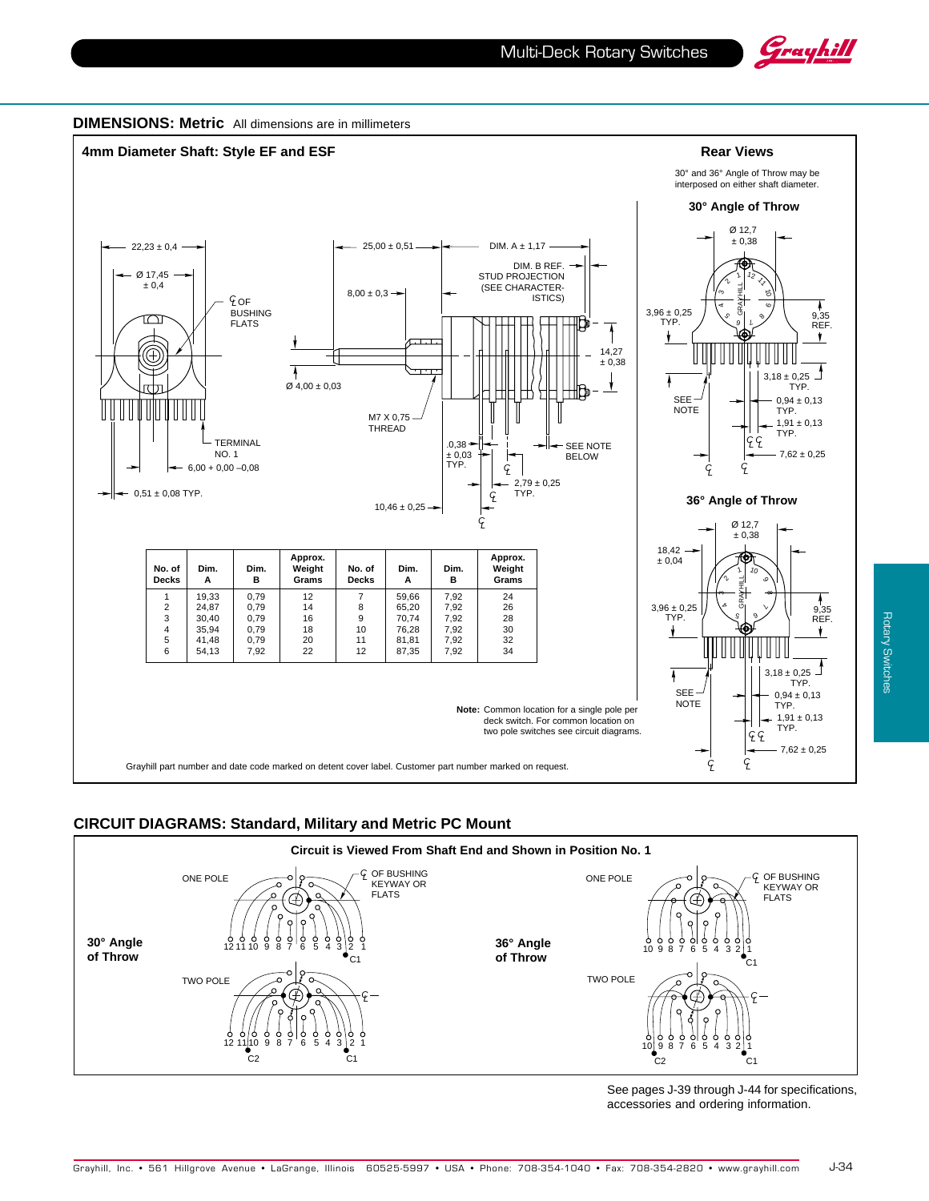





## **CIRCUIT DIAGRAMS: Standard, Military and Metric PC Mount**

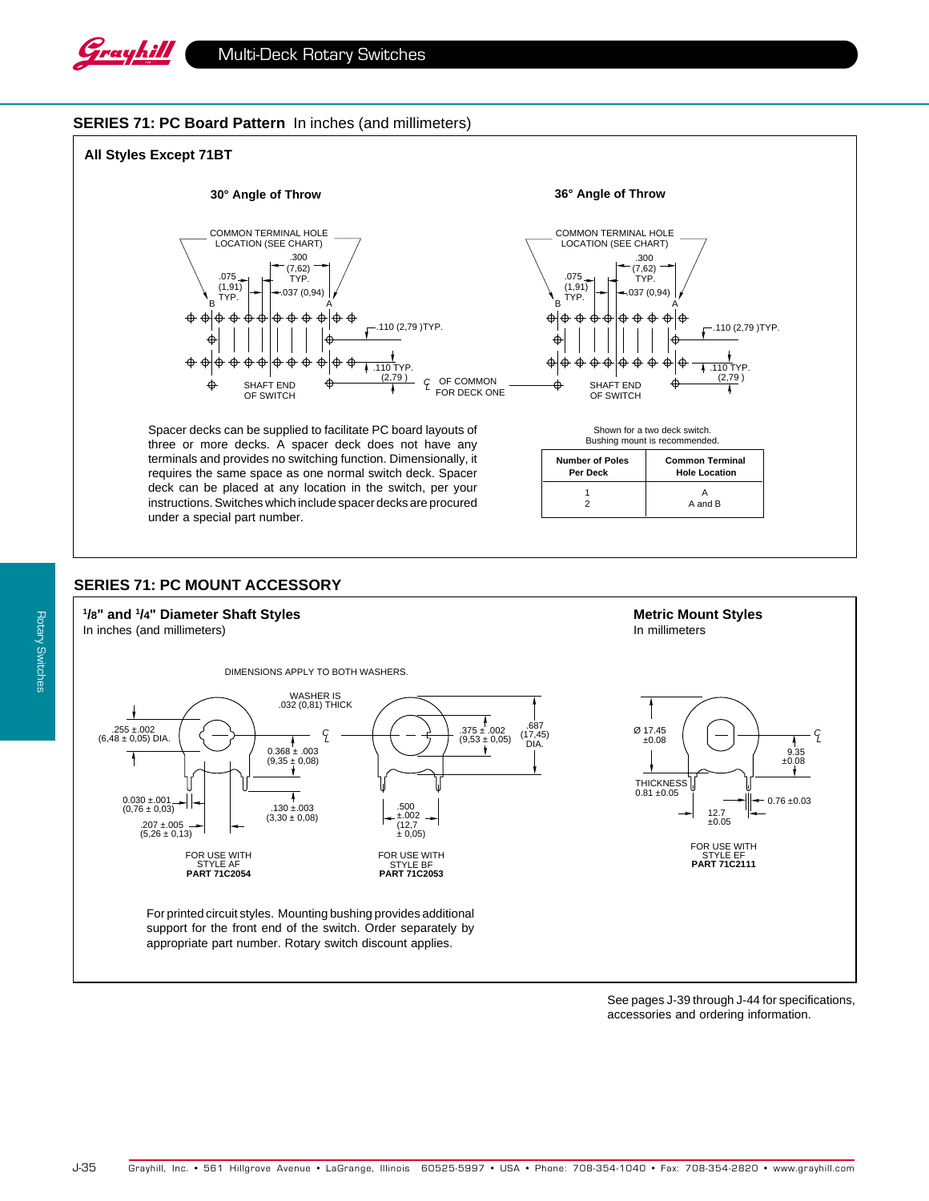

### **SERIES 71: PC Board Pattern** In inches (and millimeters)



## **SERIES 71: PC MOUNT ACCESSORY**

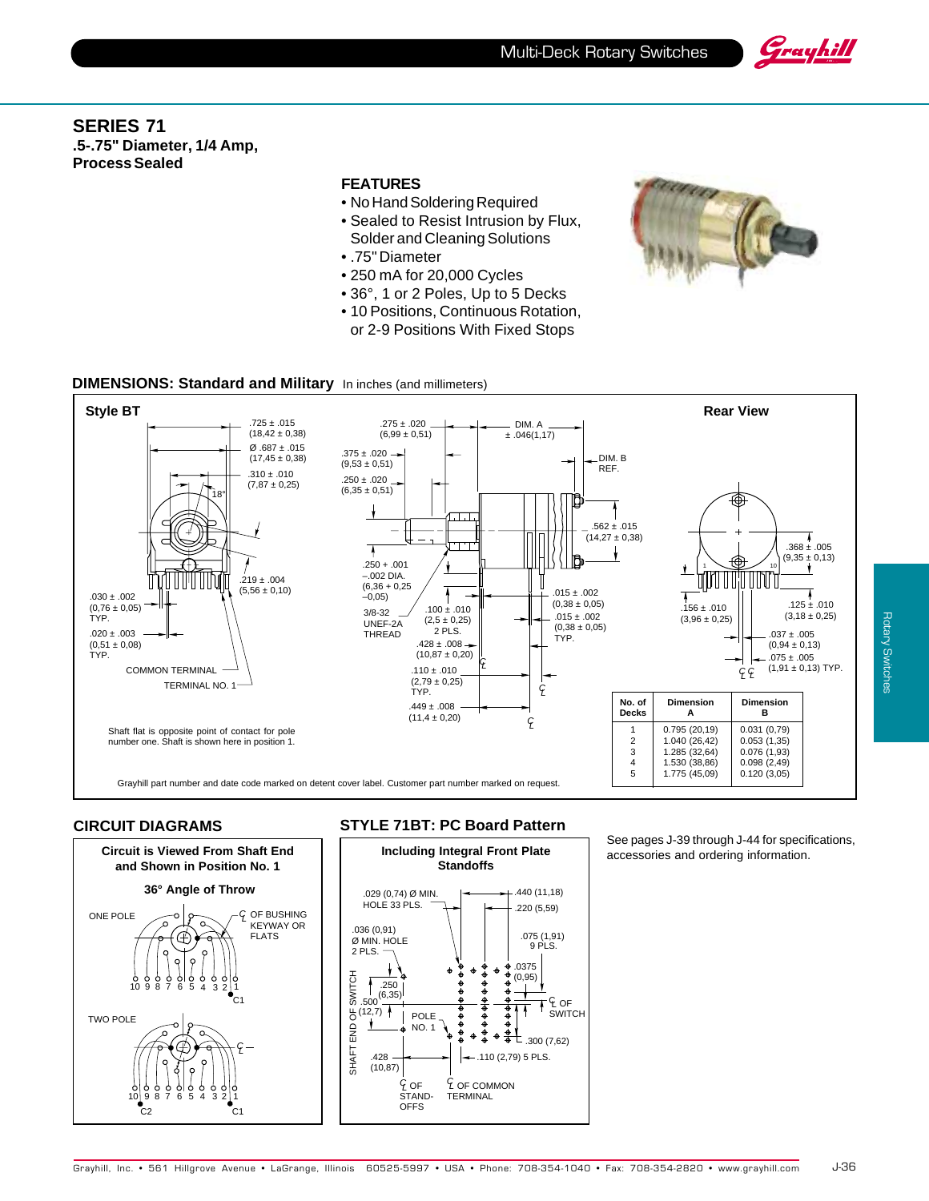



## **SERIES 71 .5-.75" Diameter, 1/4 Amp, Process Sealed**

### **FEATURES**

- No Hand Soldering Required
- Sealed to Resist Intrusion by Flux, Solder and Cleaning Solutions
- .75" Diameter
- 250 mA for 20,000 Cycles
- 36°, 1 or 2 Poles, Up to 5 Decks
- 10 Positions, Continuous Rotation, or 2-9 Positions With Fixed Stops



### **DIMENSIONS: Standard and Military** In inches (and millimeters)



### **CIRCUIT DIAGRAMS**



## **STYLE 71BT: PC Board Pattern**



### See pages J-39 through J-44 for specifications, accessories and ordering information.

Rotary Switches

**Rotary Switches**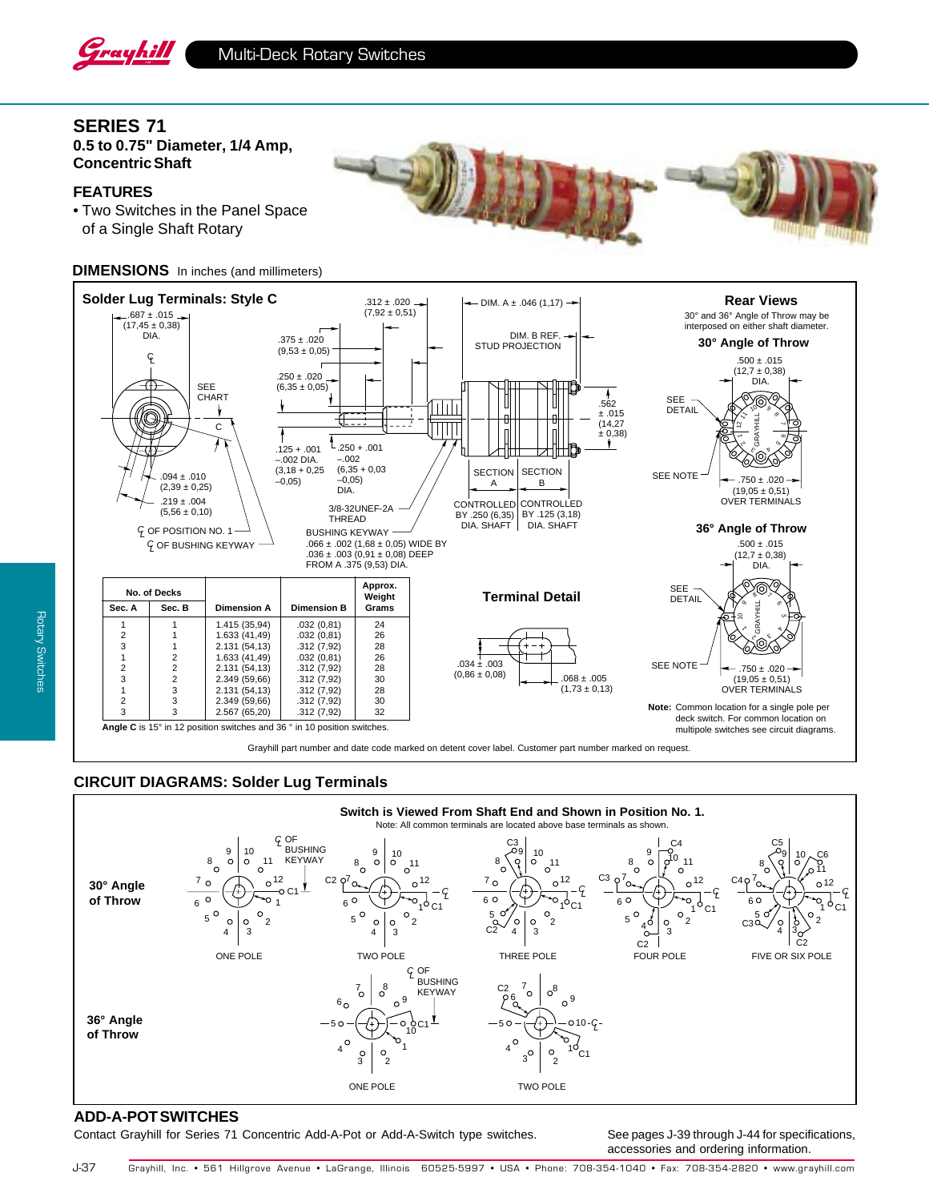

## **SERIES 71**

**0.5 to 0.75" Diameter, 1/4 Amp, Concentric Shaft**

### **FEATURES**

• Two Switches in the Panel Space of a Single Shaft Rotary

### **DIMENSIONS** In inches (and millimeters)



Grayhill part number and date code marked on detent cover label. Customer part number marked on request.

### **CIRCUIT DIAGRAMS: Solder Lug Terminals**



### **ADD-A-POT SWITCHES**

Contact Grayhill for Series 71 Concentric Add-A-Pot or Add-A-Switch type switches. See pages J-39 through J-44 for specifications,

accessories and ordering information.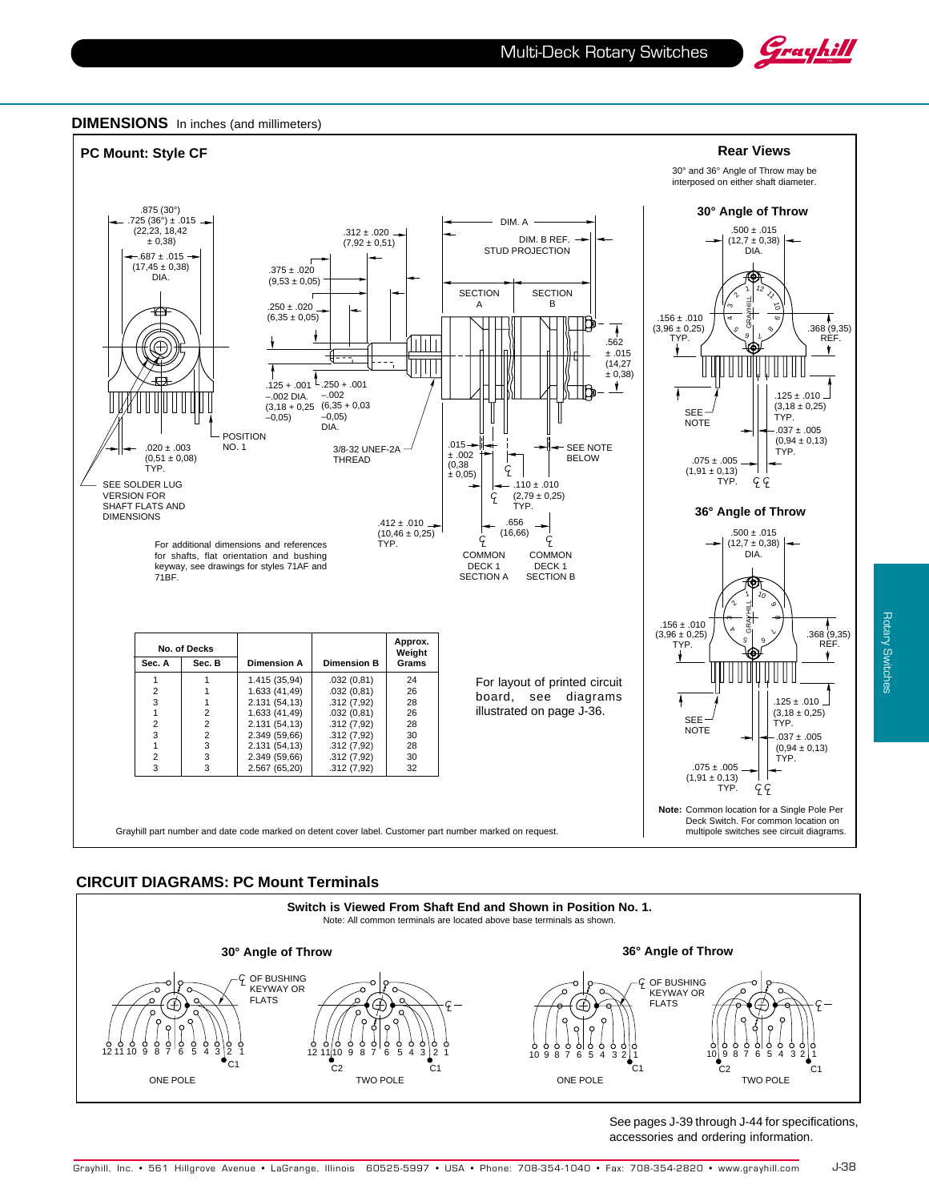





### **CIRCUIT DIAGRAMS: PC Mount Terminals**



**Rotary Switches** Rotary Switches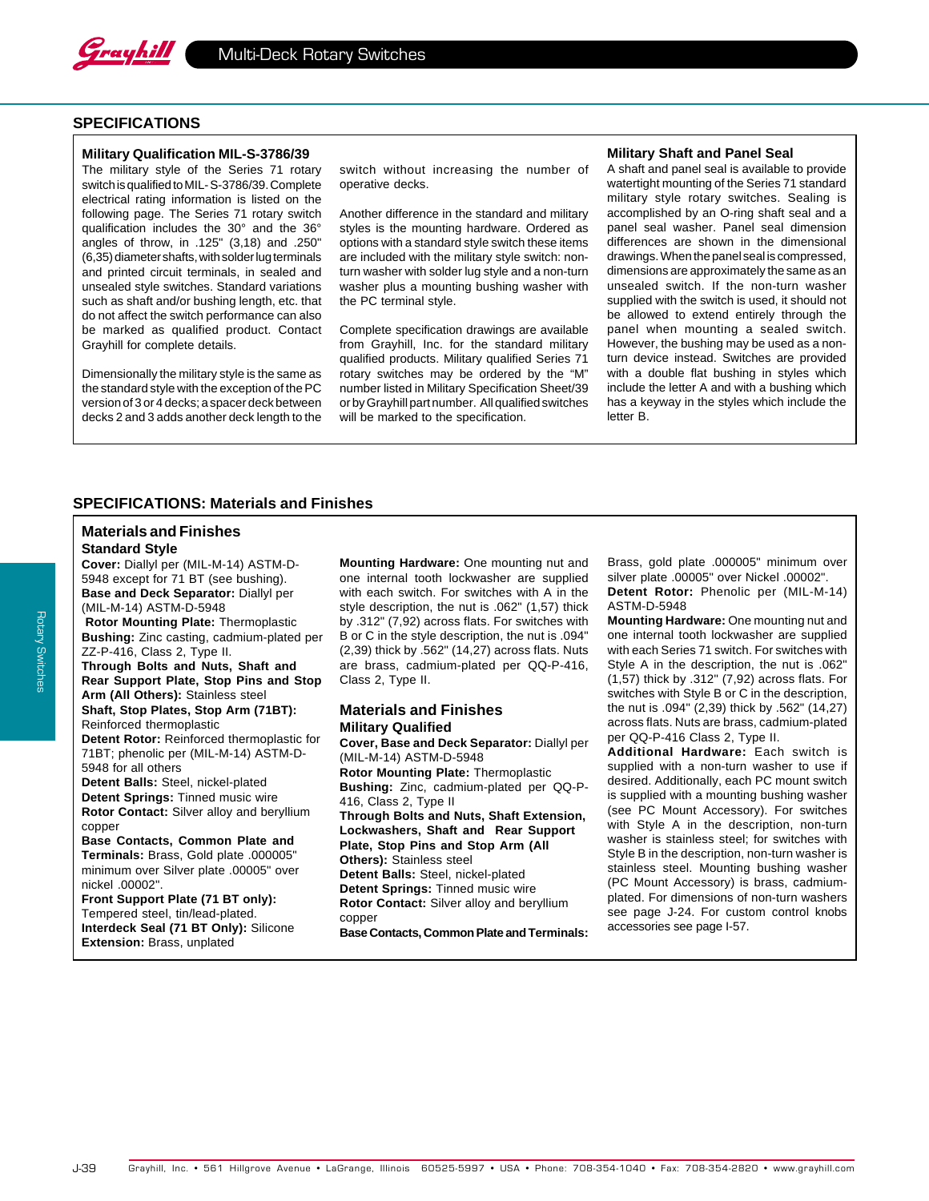

### **SPECIFICATIONS**

#### **Military Qualification MIL-S-3786/39**

The military style of the Series 71 rotary switch is qualified to MIL- S-3786/39. Complete electrical rating information is listed on the following page. The Series 71 rotary switch qualification includes the 30° and the 36° angles of throw, in .125" (3,18) and .250" (6,35) diameter shafts, with solder lug terminals and printed circuit terminals, in sealed and unsealed style switches. Standard variations such as shaft and/or bushing length, etc. that do not affect the switch performance can also be marked as qualified product. Contact Grayhill for complete details.

Dimensionally the military style is the same as the standard style with the exception of the PC version of 3 or 4 decks; a spacer deck between decks 2 and 3 adds another deck length to the switch without increasing the number of operative decks.

Another difference in the standard and military styles is the mounting hardware. Ordered as options with a standard style switch these items are included with the military style switch: nonturn washer with solder lug style and a non-turn washer plus a mounting bushing washer with the PC terminal style.

Complete specification drawings are available from Grayhill, Inc. for the standard military qualified products. Military qualified Series 71 rotary switches may be ordered by the "M" number listed in Military Specification Sheet/39 or by Grayhill part number. All qualified switches will be marked to the specification.

#### **Military Shaft and Panel Seal**

A shaft and panel seal is available to provide watertight mounting of the Series 71 standard military style rotary switches. Sealing is accomplished by an O-ring shaft seal and a panel seal washer. Panel seal dimension differences are shown in the dimensional drawings. When the panel seal is compressed, dimensions are approximately the same as an unsealed switch. If the non-turn washer supplied with the switch is used, it should not be allowed to extend entirely through the panel when mounting a sealed switch. However, the bushing may be used as a nonturn device instead. Switches are provided with a double flat bushing in styles which include the letter A and with a bushing which has a keyway in the styles which include the letter B.

### **SPECIFICATIONS: Materials and Finishes**

# **Materials and Finishes**

**Standard Style**

**Cover:** Diallyl per (MIL-M-14) ASTM-D-5948 except for 71 BT (see bushing). **Base and Deck Separator:** Diallyl per (MIL-M-14) ASTM-D-5948

**Rotor Mounting Plate:** Thermoplastic **Bushing:** Zinc casting, cadmium-plated per ZZ-P-416, Class 2, Type II.

**Through Bolts and Nuts, Shaft and Rear Support Plate, Stop Pins and Stop Arm (All Others):** Stainless steel **Shaft, Stop Plates, Stop Arm (71BT):**

Reinforced thermoplastic **Detent Rotor:** Reinforced thermoplastic for 71BT; phenolic per (MIL-M-14) ASTM-D-5948 for all others

**Detent Balls:** Steel, nickel-plated **Detent Springs:** Tinned music wire **Rotor Contact:** Silver alloy and beryllium copper

**Base Contacts, Common Plate and Terminals:** Brass, Gold plate .000005" minimum over Silver plate .00005" over nickel .00002".

**Front Support Plate (71 BT only):** Tempered steel, tin/lead-plated. **Interdeck Seal (71 BT Only):** Silicone **Extension:** Brass, unplated

**Mounting Hardware:** One mounting nut and one internal tooth lockwasher are supplied with each switch. For switches with A in the style description, the nut is .062" (1,57) thick by .312" (7,92) across flats. For switches with B or C in the style description, the nut is .094" (2,39) thick by .562" (14,27) across flats. Nuts are brass, cadmium-plated per QQ-P-416, Class 2, Type II.

#### **Materials and Finishes Military Qualified**

**Cover, Base and Deck Separator:** Diallyl per (MIL-M-14) ASTM-D-5948 **Rotor Mounting Plate:** Thermoplastic **Bushing:** Zinc, cadmium-plated per QQ-P-416, Class 2, Type II **Through Bolts and Nuts, Shaft Extension, Lockwashers, Shaft and Rear Support Plate, Stop Pins and Stop Arm (All Others):** Stainless steel **Detent Balls:** Steel, nickel-plated **Detent Springs:** Tinned music wire **Rotor Contact:** Silver alloy and beryllium copper **Base Contacts, Common Plate and Terminals:** Brass, gold plate .000005" minimum over silver plate .00005" over Nickel .00002". **Detent Rotor:** Phenolic per (MIL-M-14) ASTM-D-5948

**Mounting Hardware:** One mounting nut and one internal tooth lockwasher are supplied with each Series 71 switch. For switches with Style A in the description, the nut is .062" (1,57) thick by .312" (7,92) across flats. For switches with Style B or C in the description, the nut is .094" (2,39) thick by .562" (14,27) across flats. Nuts are brass, cadmium-plated per QQ-P-416 Class 2, Type II.

**Additional Hardware:** Each switch is supplied with a non-turn washer to use if desired. Additionally, each PC mount switch is supplied with a mounting bushing washer (see PC Mount Accessory). For switches with Style A in the description, non-turn washer is stainless steel; for switches with Style B in the description, non-turn washer is stainless steel. Mounting bushing washer (PC Mount Accessory) is brass, cadmiumplated. For dimensions of non-turn washers see page J-24. For custom control knobs accessories see page I-57.

J-39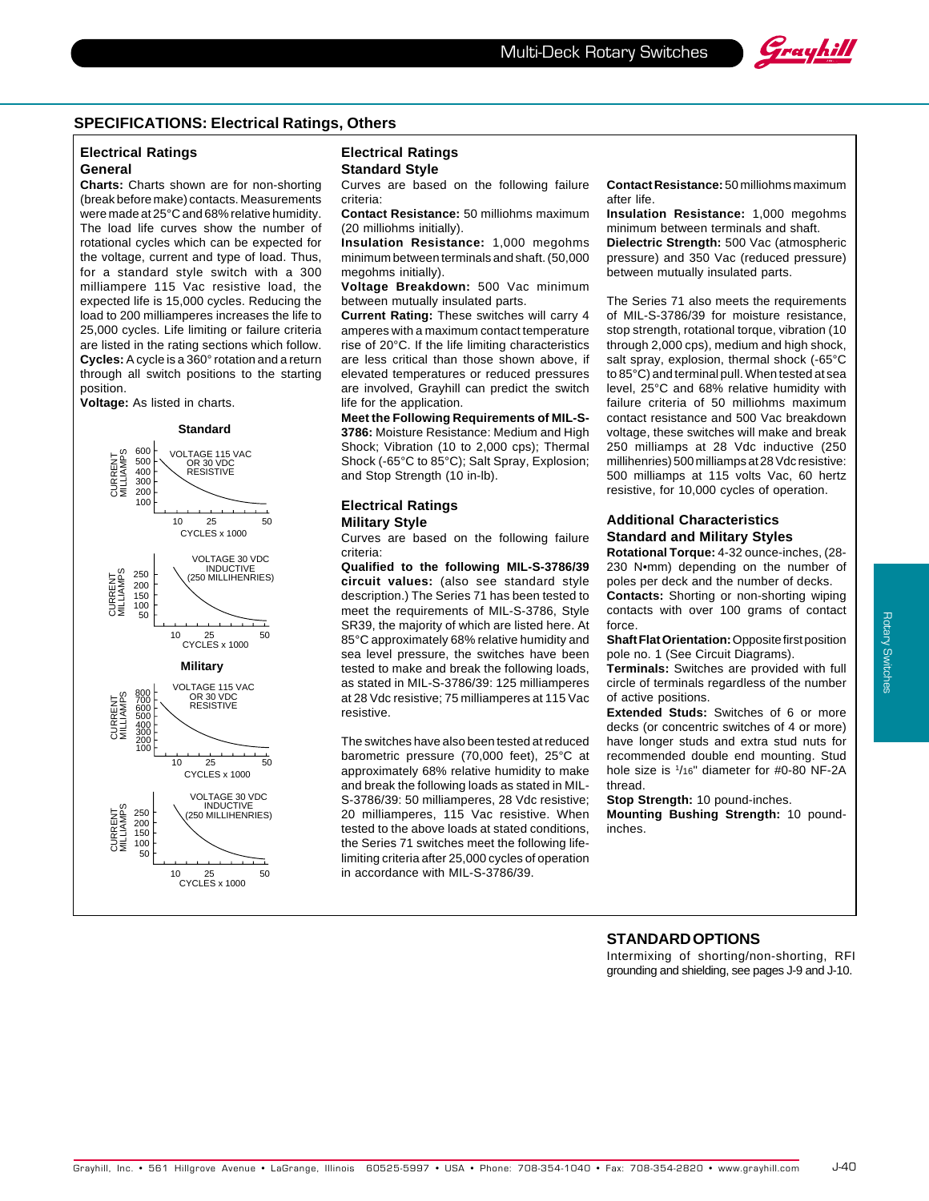

#### **SPECIFICATIONS: Electrical Ratings, Others**

### **Electrical Ratings General**

**Charts:** Charts shown are for non-shorting (break before make) contacts. Measurements were made at 25°C and 68% relative humidity. The load life curves show the number of rotational cycles which can be expected for the voltage, current and type of load. Thus, for a standard style switch with a 300 milliampere 115 Vac resistive load, the expected life is 15,000 cycles. Reducing the load to 200 milliamperes increases the life to 25,000 cycles. Life limiting or failure criteria are listed in the rating sections which follow. **Cycles:** A cycle is a 360° rotation and a return through all switch positions to the starting position.

**Voltage:** As listed in charts.

**Standard**



#### **Electrical Ratings Standard Style**

Curves are based on the following failure criteria:

**Contact Resistance:** 50 milliohms maximum (20 milliohms initially).

**Insulation Resistance:** 1,000 megohms minimum between terminals and shaft. (50,000 megohms initially).

**Voltage Breakdown:** 500 Vac minimum between mutually insulated parts.

**Current Rating:** These switches will carry 4 amperes with a maximum contact temperature rise of 20°C. If the life limiting characteristics are less critical than those shown above, if elevated temperatures or reduced pressures are involved, Grayhill can predict the switch life for the application.

**Meet the Following Requirements of MIL-S-3786:** Moisture Resistance: Medium and High Shock; Vibration (10 to 2,000 cps); Thermal Shock (-65°C to 85°C); Salt Spray, Explosion; and Stop Strength (10 in-lb).

#### **Electrical Ratings Military Style**

Curves are based on the following failure criteria:

**Qualified to the following MIL-S-3786/39 circuit values:** (also see standard style description.) The Series 71 has been tested to meet the requirements of MIL-S-3786, Style SR39, the majority of which are listed here. At 85°C approximately 68% relative humidity and sea level pressure, the switches have been tested to make and break the following loads, as stated in MIL-S-3786/39: 125 milliamperes at 28 Vdc resistive; 75 milliamperes at 115 Vac resistive.

The switches have also been tested at reduced barometric pressure (70,000 feet), 25°C at approximately 68% relative humidity to make and break the following loads as stated in MIL-S-3786/39: 50 milliamperes, 28 Vdc resistive; 20 milliamperes, 115 Vac resistive. When tested to the above loads at stated conditions, the Series 71 switches meet the following lifelimiting criteria after 25,000 cycles of operation in accordance with MIL-S-3786/39.

**Contact Resistance:** 50 milliohms maximum after life.

**Insulation Resistance:** 1,000 megohms minimum between terminals and shaft. **Dielectric Strength:** 500 Vac (atmospheric

pressure) and 350 Vac (reduced pressure) between mutually insulated parts.

The Series 71 also meets the requirements of MIL-S-3786/39 for moisture resistance, stop strength, rotational torque, vibration (10 through 2,000 cps), medium and high shock, salt spray, explosion, thermal shock (-65°C to 85°C) and terminal pull. When tested at sea level, 25°C and 68% relative humidity with failure criteria of 50 milliohms maximum contact resistance and 500 Vac breakdown voltage, these switches will make and break 250 milliamps at 28 Vdc inductive (250 millihenries) 500 milliamps at 28 Vdc resistive: 500 milliamps at 115 volts Vac, 60 hertz resistive, for 10,000 cycles of operation.

#### **Additional Characteristics Standard and Military Styles**

**Rotational Torque:** 4-32 ounce-inches, (28- 230 N•mm) depending on the number of poles per deck and the number of decks.

**Contacts:** Shorting or non-shorting wiping contacts with over 100 grams of contact force.

**Shaft Flat Orientation:** Opposite first position pole no. 1 (See Circuit Diagrams).

**Terminals:** Switches are provided with full circle of terminals regardless of the number of active positions.

**Extended Studs:** Switches of 6 or more decks (or concentric switches of 4 or more) have longer studs and extra stud nuts for recommended double end mounting. Stud hole size is 1 /16" diameter for #0-80 NF-2A thread.

#### **Stop Strength:** 10 pound-inches.

**Mounting Bushing Strength:** 10 poundinches.

### **STANDARD OPTIONS**

Intermixing of shorting/non-shorting, RFI grounding and shielding, see pages J-9 and J-10.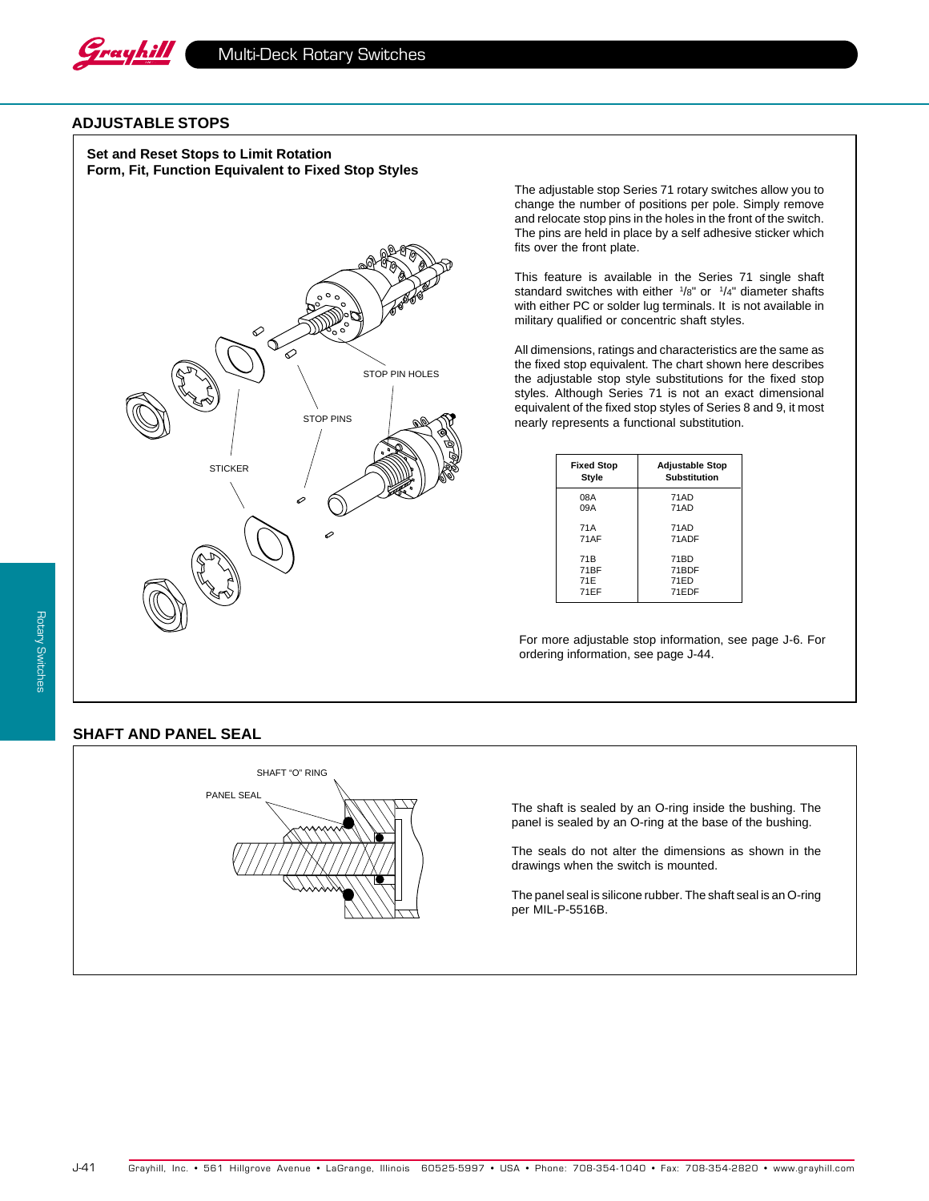

### **ADJUSTABLE STOPS**

**Set and Reset Stops to Limit Rotation Form, Fit, Function Equivalent to Fixed Stop Styles**



The adjustable stop Series 71 rotary switches allow you to change the number of positions per pole. Simply remove and relocate stop pins in the holes in the front of the switch. The pins are held in place by a self adhesive sticker which fits over the front plate.

This feature is available in the Series 71 single shaft standard switches with either <sup>1</sup>/8" or <sup>1</sup>/4" diameter shafts with either PC or solder lug terminals. It is not available in military qualified or concentric shaft styles.

All dimensions, ratings and characteristics are the same as the fixed stop equivalent. The chart shown here describes the adjustable stop style substitutions for the fixed stop styles. Although Series 71 is not an exact dimensional equivalent of the fixed stop styles of Series 8 and 9, it most nearly represents a functional substitution.

| <b>Fixed Stop</b> | <b>Adjustable Stop</b> |
|-------------------|------------------------|
| Style             | Substitution           |
| 08A               | 71AD                   |
| 09A               | 71AD                   |
| 71A               | 71AD                   |
| 71AF              | 71ADF                  |
| 71B               | 71BD                   |
| 71BF              | 71BDF                  |
| 71E               | 71ED                   |
| 71EF              | 71EDF                  |

For more adjustable stop information, see page J-6. For ordering information, see page J-44.

## **SHAFT AND PANEL SEAL**



The shaft is sealed by an O-ring inside the bushing. The panel is sealed by an O-ring at the base of the bushing.

The seals do not alter the dimensions as shown in the drawings when the switch is mounted.

The panel seal is silicone rubber. The shaft seal is an O-ring per MIL-P-5516B.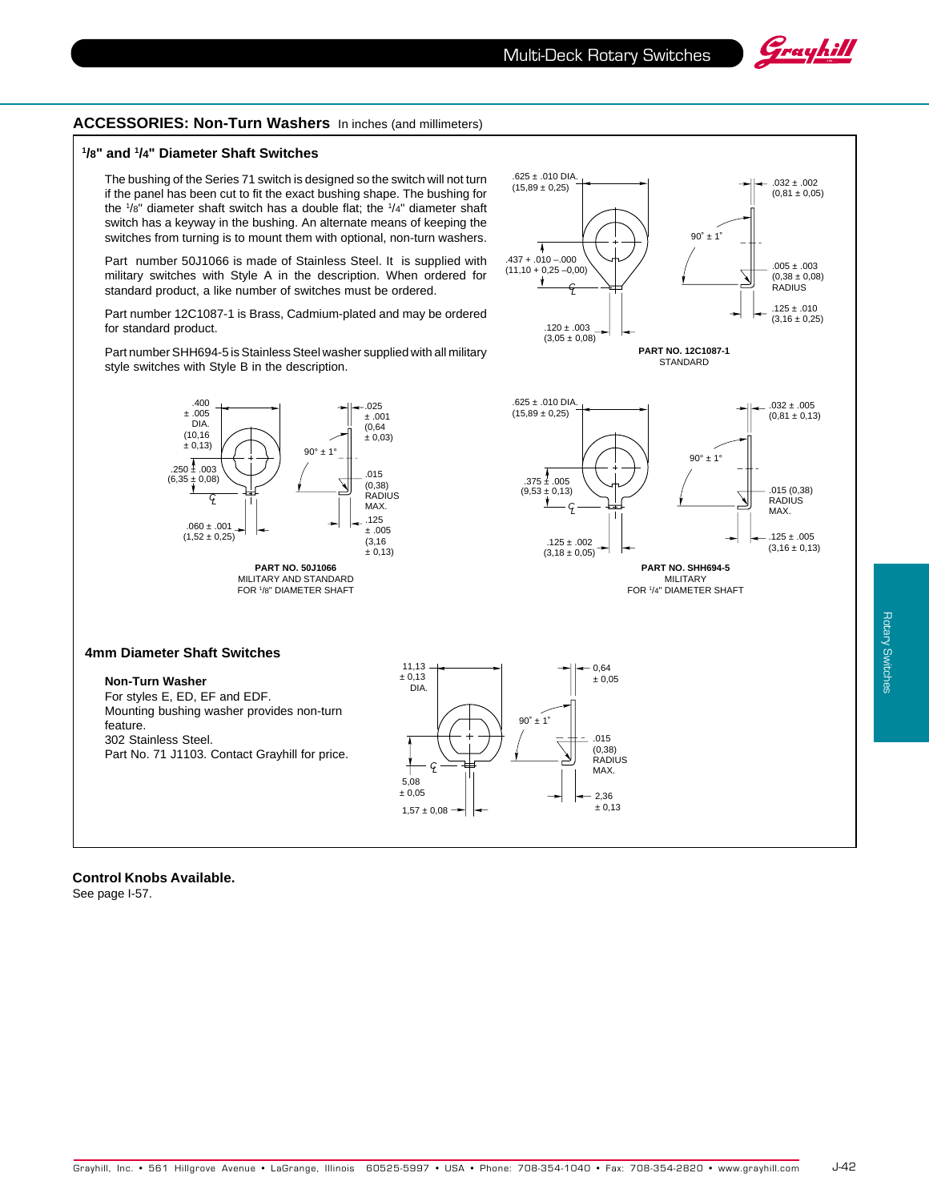C L

 $.120 \pm .003$  $(3.05 \pm 0.08)$ 

 $.625 \pm .010$  DIA.  $(15,89 \pm 0,25)$ 

.437 + .010 –.000  $(11.10 + 0.25 - 0.00)$ 

₩

7

**PART NO. 12C1087-1 STANDARD** 

 $90^\circ \pm 1$ 

2,36  $± 0,13$ 



 $.125 \pm .010$  $(3,16 \pm 0,25)$ 

 $0.05 + 0.03$  $(0,38 \pm 0,08)$ **RADIUS** 

.032 ± .002 (0,81 ± 0,05)

### **ACCESSORIES: Non-Turn Washers** In inches (and millimeters)

#### **1 /8" and 1 /4" Diameter Shaft Switches**

The bushing of the Series 71 switch is designed so the switch will not turn if the panel has been cut to fit the exact bushing shape. The bushing for the 1 /8" diameter shaft switch has a double flat; the 1 /4" diameter shaft switch has a keyway in the bushing. An alternate means of keeping the switches from turning is to mount them with optional, non-turn washers.

Part number 50J1066 is made of Stainless Steel. It is supplied with military switches with Style A in the description. When ordered for standard product, a like number of switches must be ordered.

Part number 12C1087-1 is Brass, Cadmium-plated and may be ordered for standard product.

Part number SHH694-5 is Stainless Steel washer supplied with all military style switches with Style B in the description.



 $1.57 + 0.08$ 

**Control Knobs Available.** See page I-57.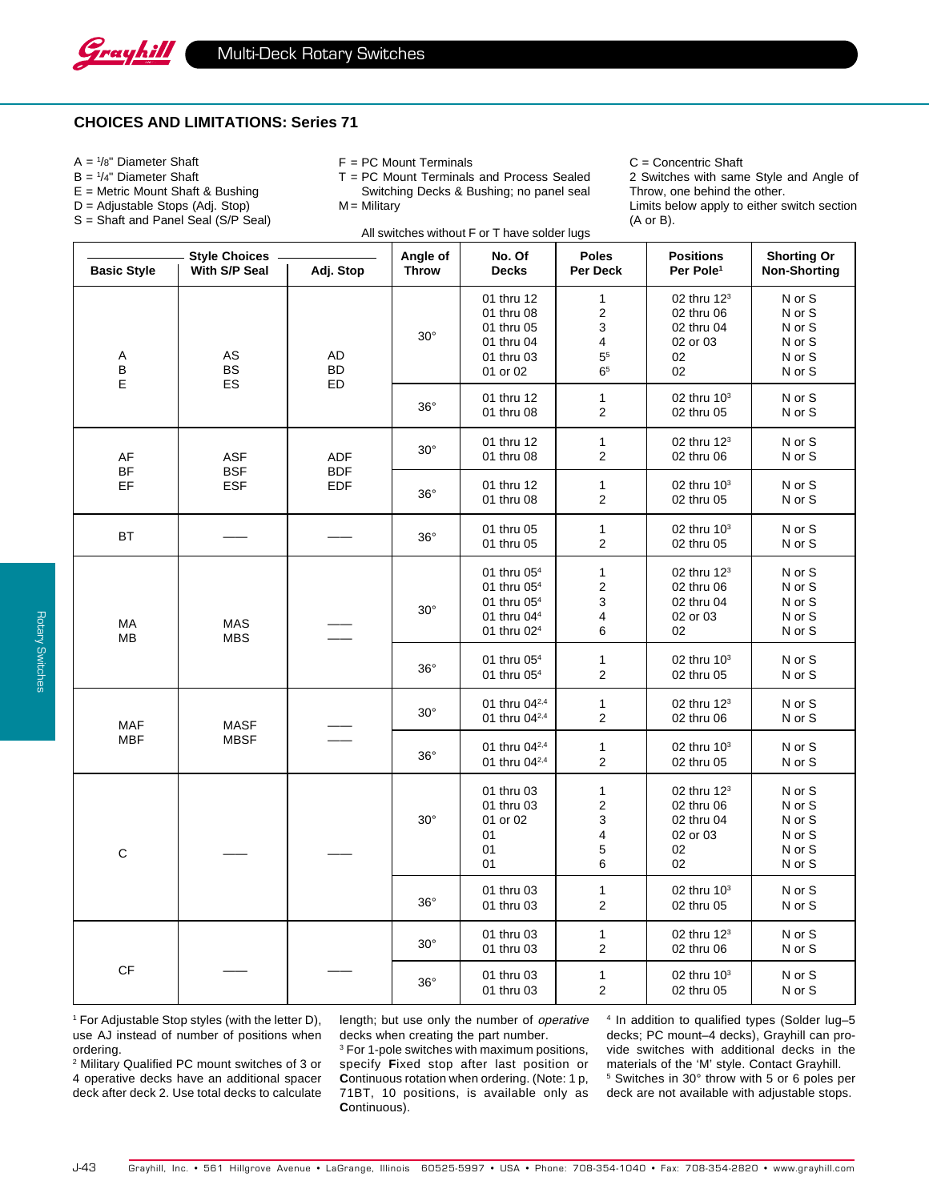### **CHOICES AND LIMITATIONS: Series 71**

- A = <sup>1</sup> /8" Diameter Shaft
- B = <sup>1</sup> /4" Diameter Shaft
- E = Metric Mount Shaft & Bushing
- D = Adjustable Stops (Adj. Stop)
- S = Shaft and Panel Seal (S/P Seal)
- F = PC Mount Terminals
- T = PC Mount Terminals and Process Sealed Switching Decks & Bushing; no panel seal

 $M =$  Military

All switches without F or T have solder lugs

C = Concentric Shaft

2 Switches with same Style and Angle of Throw, one behind the other.

Limits below apply to either switch section (A or B).

| <b>Style Choices</b>     |                                        | Angle of                               | No. Of       | <b>Poles</b>                                                                                                                        | <b>Positions</b>                                                          | <b>Shorting Or</b>                                                          |                                                          |
|--------------------------|----------------------------------------|----------------------------------------|--------------|-------------------------------------------------------------------------------------------------------------------------------------|---------------------------------------------------------------------------|-----------------------------------------------------------------------------|----------------------------------------------------------|
| <b>Basic Style</b>       | With S/P Seal                          | Adj. Stop                              | <b>Throw</b> | <b>Decks</b>                                                                                                                        | Per Deck                                                                  | Per Pole <sup>1</sup>                                                       | <b>Non-Shorting</b>                                      |
| Α<br>В<br>E              | AS<br><b>BS</b><br>ES                  | AD<br>BD<br>ED                         | $30^\circ$   | 01 thru 12<br>01 thru 08<br>01 thru 05<br>01 thru 04<br>01 thru 03<br>01 or 02                                                      | $\mathbf{1}$<br>$\mathbf 2$<br>3<br>4<br>5 <sup>5</sup><br>6 <sup>5</sup> | 02 thru 12 <sup>3</sup><br>02 thru 06<br>02 thru 04<br>02 or 03<br>02<br>02 | N or S<br>N or S<br>N or S<br>N or S<br>N or S<br>N or S |
|                          |                                        |                                        | $36^\circ$   | 01 thru 12<br>01 thru 08                                                                                                            | $\mathbf{1}$<br>$\overline{\mathbf{c}}$                                   | 02 thru 10 <sup>3</sup><br>02 thru 05                                       | N or S<br>N or S                                         |
| AF<br>BF<br>EF           | <b>ASF</b><br><b>BSF</b><br><b>ESF</b> | <b>ADF</b><br><b>BDF</b><br><b>EDF</b> | $30^\circ$   | 01 thru 12<br>01 thru 08                                                                                                            | $\mathbf{1}$<br>$\sqrt{2}$                                                | 02 thru 12 <sup>3</sup><br>02 thru 06                                       | N or S<br>N or S                                         |
|                          |                                        |                                        | $36^{\circ}$ | 01 thru 12<br>01 thru 08                                                                                                            | $\mathbf{1}$<br>$\mathbf{2}$                                              | 02 thru 10 <sup>3</sup><br>02 thru 05                                       | N or S<br>N or S                                         |
| BT                       |                                        |                                        | $36^{\circ}$ | 01 thru 05<br>01 thru 05                                                                                                            | $\mathbf{1}$<br>$\overline{\mathbf{c}}$                                   | 02 thru 10 <sup>3</sup><br>02 thru 05                                       | N or S<br>N or S                                         |
| МA<br>MВ                 | <b>MAS</b><br><b>MBS</b>               |                                        | $30^\circ$   | 01 thru 05 <sup>4</sup><br>01 thru 05 <sup>4</sup><br>01 thru 05 <sup>4</sup><br>01 thru 04 <sup>4</sup><br>01 thru 02 <sup>4</sup> | $\mathbf{1}$<br>$\overline{\mathbf{c}}$<br>3<br>4<br>6                    | 02 thru $123$<br>02 thru 06<br>02 thru 04<br>02 or 03<br>02                 | N or S<br>N or S<br>N or S<br>N or S<br>N or S           |
|                          |                                        |                                        | $36^\circ$   | 01 thru 05 <sup>4</sup><br>01 thru 05 <sup>4</sup>                                                                                  | $\mathbf{1}$<br>$\overline{\mathbf{c}}$                                   | 02 thru 10 <sup>3</sup><br>02 thru 05                                       | N or S<br>N or S                                         |
| <b>MAF</b><br><b>MBF</b> | <b>MASF</b><br><b>MBSF</b>             |                                        | $30^\circ$   | 01 thru 04 <sup>2,4</sup><br>01 thru 04 <sup>2,4</sup>                                                                              | $\mathbf{1}$<br>$\overline{\mathbf{c}}$                                   | 02 thru 12 <sup>3</sup><br>02 thru 06                                       | N or S<br>N or S                                         |
|                          |                                        |                                        | $36^{\circ}$ | 01 thru 04 <sup>2,4</sup><br>01 thru 042,4                                                                                          | $\mathbf{1}$<br>$\overline{\mathbf{c}}$                                   | 02 thru 10 <sup>3</sup><br>02 thru 05                                       | N or S<br>N or S                                         |
| $\mathsf C$              |                                        |                                        | $30^\circ$   | 01 thru 03<br>01 thru 03<br>01 or 02<br>01<br>01<br>01                                                                              | $\mathbf{1}$<br>$\overline{\mathbf{c}}$<br>3<br>4<br>5<br>6               | 02 thru $123$<br>02 thru 06<br>02 thru 04<br>02 or 03<br>02<br>02           | N or S<br>N or S<br>N or S<br>N or S<br>N or S<br>N or S |
|                          |                                        |                                        | $36^\circ$   | 01 thru 03<br>01 thru 03                                                                                                            | $\mathbf{1}$<br>$\mathbf{2}$                                              | 02 thru 10 <sup>3</sup><br>02 thru 05                                       | N or S<br>N or S                                         |
| $\mathsf{C}\mathsf{F}$   |                                        |                                        | $30^\circ$   | 01 thru 03<br>01 thru 03                                                                                                            | $\mathbf{1}$<br>$\mathbf{2}$                                              | 02 thru 12 <sup>3</sup><br>02 thru 06                                       | N or S<br>N or S                                         |
|                          |                                        |                                        | $36^{\circ}$ | 01 thru 03<br>01 thru 03                                                                                                            | $\mathbf{1}$<br>$\overline{\mathbf{c}}$                                   | 02 thru $103$<br>02 thru 05                                                 | N or S<br>N or S                                         |

1 For Adjustable Stop styles (with the letter D), use AJ instead of number of positions when ordering.

2 Military Qualified PC mount switches of 3 or 4 operative decks have an additional spacer deck after deck 2. Use total decks to calculate length; but use only the number of operative decks when creating the part number.

<sup>3</sup> For 1-pole switches with maximum positions, specify **F**ixed stop after last position or **C**ontinuous rotation when ordering. (Note: 1 p, 71BT, 10 positions, is available only as **C**ontinuous).

4 In addition to qualified types (Solder lug–5 decks; PC mount–4 decks), Grayhill can provide switches with additional decks in the materials of the 'M' style. Contact Grayhill. 5 Switches in 30° throw with 5 or 6 poles per deck are not available with adjustable stops.

Grayhill, Inc. • 561 Hillgrove Avenue • LaGrange, Illinois 60525-5997 • USA • Phone: 708-354-1040 • Fax: 708-354-2820 • www.grayhill.com J-43